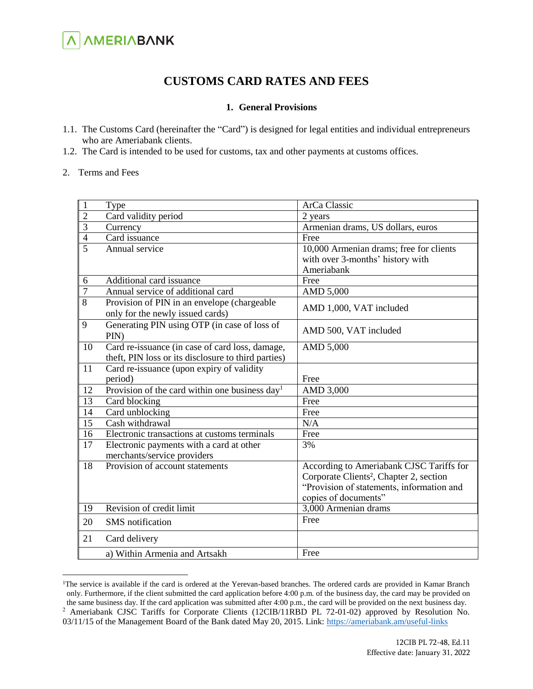# **A AMERIABANK**

### **CUSTOMS CARD RATES AND FEES**

#### **1. General Provisions**

- 1.1. The Customs Card (hereinafter the "Card") is designed for legal entities and individual entrepreneurs who are Ameriabank clients.
- 1.2. The Card is intended to be used for customs, tax and other payments at customs offices.
- 2. Terms and Fees

 $\overline{a}$ 

| $\mathbf{1}$    | Type                                                       | ArCa Classic                                        |
|-----------------|------------------------------------------------------------|-----------------------------------------------------|
| $\overline{2}$  | Card validity period                                       | 2 years                                             |
| $\overline{3}$  | Currency                                                   | Armenian drams, US dollars, euros                   |
| $\overline{4}$  | Card issuance                                              | Free                                                |
| $\overline{5}$  | Annual service                                             | 10,000 Armenian drams; free for clients             |
|                 |                                                            | with over 3-months' history with                    |
|                 |                                                            | Ameriabank                                          |
| 6               | Additional card issuance                                   | Free                                                |
| $\overline{7}$  | Annual service of additional card                          | AMD 5,000                                           |
| 8               | Provision of PIN in an envelope (chargeable                | AMD 1,000, VAT included                             |
|                 | only for the newly issued cards)                           |                                                     |
| 9               | Generating PIN using OTP (in case of loss of               | AMD 500, VAT included                               |
|                 | PIN)                                                       |                                                     |
| 10              | Card re-issuance (in case of card loss, damage,            | AMD 5,000                                           |
|                 | theft, PIN loss or its disclosure to third parties)        |                                                     |
| 11              | Card re-issuance (upon expiry of validity                  |                                                     |
|                 | period)                                                    | Free                                                |
| 12              | Provision of the card within one business day <sup>1</sup> | AMD 3,000                                           |
| $1\overline{3}$ | Card blocking                                              | Free                                                |
| 14              | Card unblocking                                            | Free                                                |
| 15              | Cash withdrawal                                            | N/A                                                 |
| 16              | Electronic transactions at customs terminals               | Free                                                |
| 17              | Electronic payments with a card at other                   | 3%                                                  |
|                 | merchants/service providers                                |                                                     |
| 18              | Provision of account statements                            | According to Ameriabank CJSC Tariffs for            |
|                 |                                                            | Corporate Clients <sup>2</sup> , Chapter 2, section |
|                 |                                                            | "Provision of statements, information and           |
|                 |                                                            | copies of documents"                                |
| 19              | Revision of credit limit                                   | 3,000 Armenian drams                                |
| 20              | <b>SMS</b> notification                                    | Free                                                |
| 21              | Card delivery                                              |                                                     |
|                 | a) Within Armenia and Artsakh                              | Free                                                |

<sup>&</sup>lt;sup>1</sup>The service is available if the card is ordered at the Yerevan-based branches. The ordered cards are provided in Kamar Branch only. Furthermore, if the client submitted the card application before 4:00 p.m. of the business day, the card may be provided on the same business day. If the card application was submitted after 4:00 p.m., the card will be provided on the next business day.

<sup>&</sup>lt;sup>2</sup> Ameriabank CJSC Tariffs for Corporate Clients (12CIB/11RBD PL 72-01-02) approved by Resolution No. 03/11/15 of the Management Board of the Bank dated May 20, 2015. Link:<https://ameriabank.am/useful-links>